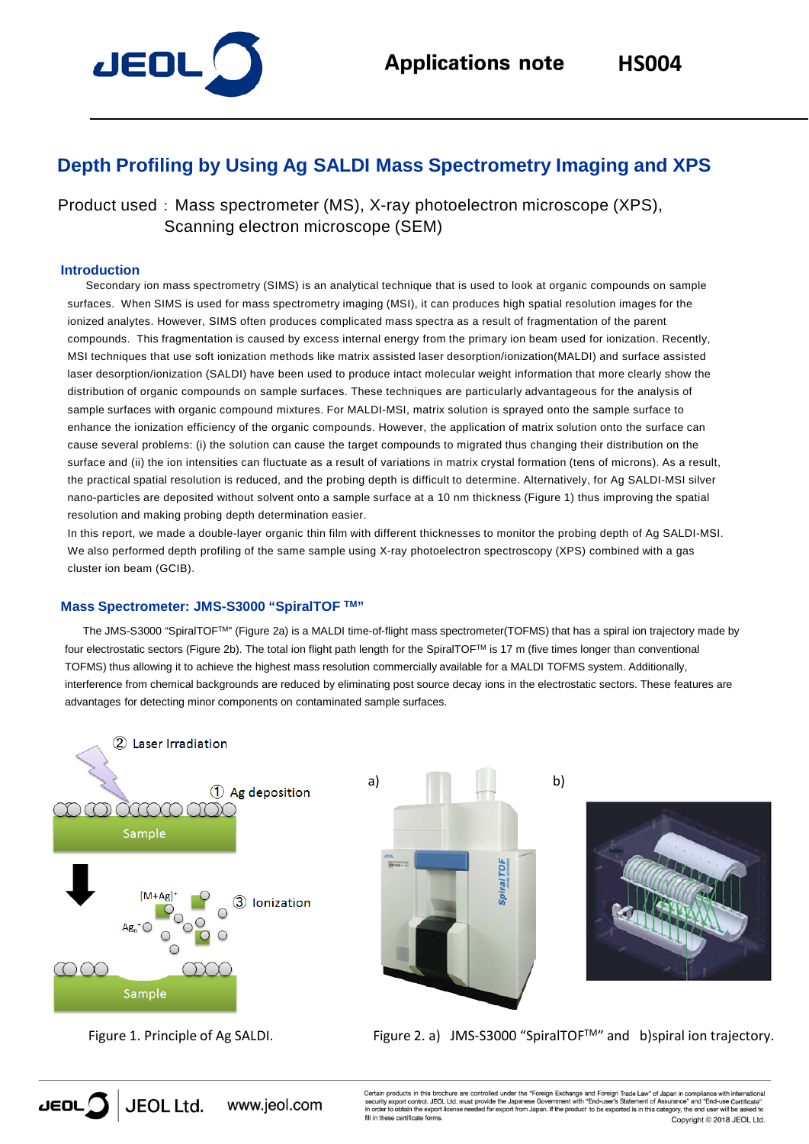

# **Depth Profiling by Using Ag SALDI Mass Spectrometry Imaging and XPS**

Product used : Mass spectrometer (MS), X-ray photoelectron microscope (XPS), Scanning electron microscope (SEM)

#### **Introduction**

Secondary ion mass spectrometry (SIMS) is an analytical technique that is used to look at organic compounds on sample surfaces. When SIMS is used for mass spectrometry imaging (MSI), it can produces high spatial resolution images for the ionized analytes. However, SIMS often produces complicated mass spectra as a result of fragmentation of the parent compounds. This fragmentation is caused by excess internal energy from the primary ion beam used for ionization. Recently, MSI techniques that use soft ionization methods like matrix assisted laser desorption/ionization(MALDI) and surface assisted laser desorption/ionization (SALDI) have been used to produce intact molecular weight information that more clearly show the distribution of organic compounds on sample surfaces. These techniques are particularly advantageous for the analysis of sample surfaces with organic compound mixtures. For MALDI-MSI, matrix solution is sprayed onto the sample surface to enhance the ionization efficiency of the organic compounds. However, the application of matrix solution onto the surface can cause several problems: (i) the solution can cause the target compounds to migrated thus changing their distribution on the surface and (ii) the ion intensities can fluctuate as a result of variations in matrix crystal formation (tens of microns). As a result, the practical spatial resolution is reduced, and the probing depth is difficult to determine. Alternatively, for Ag SALDI-MSI silver nano-particles are deposited without solvent onto a sample surface at a 10 nm thickness (Figure 1) thus improving the spatial resolution and making probing depth determination easier.

In this report, we made a double-layer organic thin film with different thicknesses to monitor the probing depth of Ag SALDI-MSI. We also performed depth profiling of the same sample using X-ray photoelectron spectroscopy (XPS) combined with a gas cluster ion beam (GCIB).

## **Mass Spectrometer: JMS-S3000 "SpiralTOF TM"**

The JMS-S3000 "SpiralTOFTM" (Figure 2a) is a MALDI time-of-flight mass spectrometer(TOFMS) that has a spiral ion trajectory made by four electrostatic sectors (Figure 2b). The total ion flight path length for the SpiralTOFTM is 17 m (five times longer than conventional TOFMS) thus allowing it to achieve the highest mass resolution commercially available for a MALDI TOFMS system. Additionally, interference from chemical backgrounds are reduced by eliminating post source decay ions in the electrostatic sectors. These features are advantages for detecting minor components on contaminated sample surfaces.



Figure 1. Principle of Ag SALDI.





Figure 2. a) JMS-S3000 "SpiralTOFTM" and b)spiral ion trajectory.



Certain products in this brochure are controlled under the "Foreign Exchange and Foreign Trade Law" of Japan in compliance with internation<br>security export control. JEOL Ltd. must provide the Japanese Government with "Endthese certificate forms. Copyright © 2018 JEOL Ltd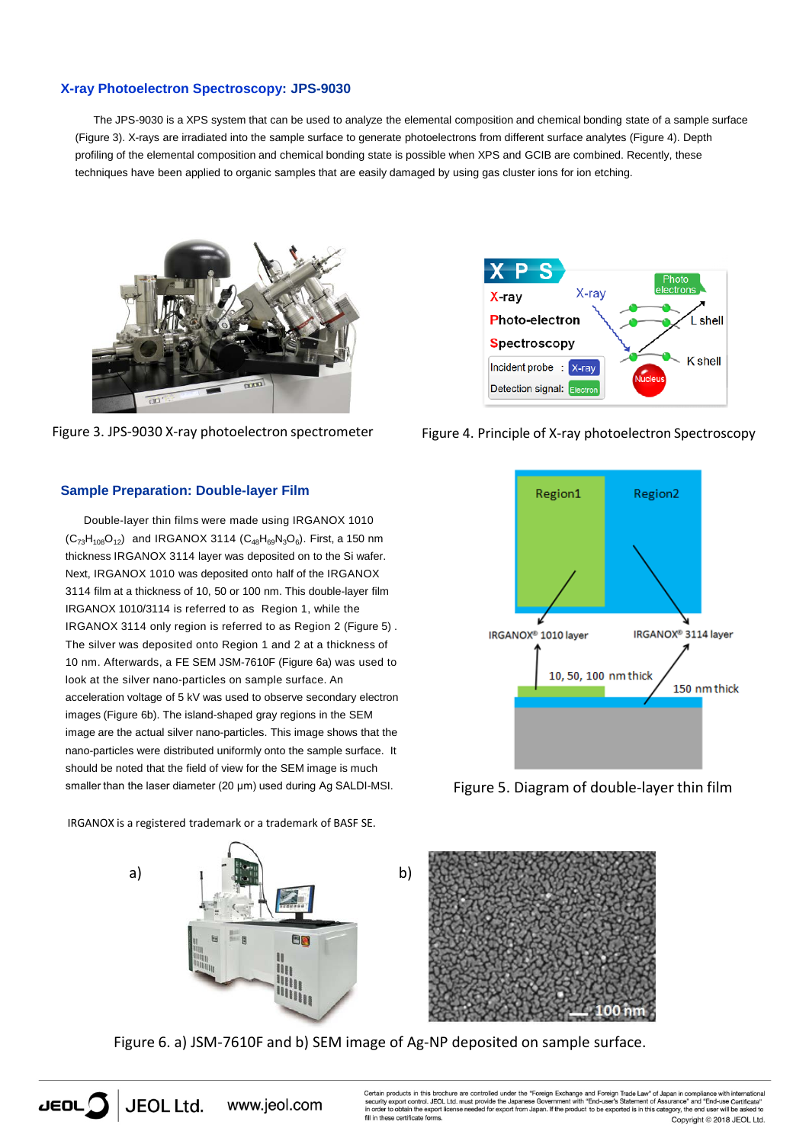#### **X-ray Photoelectron Spectroscopy: JPS-9030**

The JPS-9030 is a XPS system that can be used to analyze the elemental composition and chemical bonding state of a sample surface (Figure 3). X-rays are irradiated into the sample surface to generate photoelectrons from different surface analytes (Figure 4). Depth profiling of the elemental composition and chemical bonding state is possible when XPS and GCIB are combined. Recently, these techniques have been applied to organic samples that are easily damaged by using gas cluster ions for ion etching.



Figure 3. JPS-9030 X-ray photoelectron spectrometer



Double-layer thin films were made using IRGANOX 1010  $(C_{73}H_{108}O_{12})$  and IRGANOX 3114  $(C_{48}H_{69}N_3O_6)$ . First, a 150 nm thickness IRGANOX 3114 layer was deposited on to the Si wafer. Next, IRGANOX 1010 was deposited onto half of the IRGANOX 3114 film at a thickness of 10, 50 or 100 nm. This double-layer film IRGANOX 1010/3114 is referred to as Region 1, while the IRGANOX 3114 only region is referred to as Region 2 (Figure 5) . The silver was deposited onto Region 1 and 2 at a thickness of 10 nm. Afterwards, a FE SEM JSM-7610F (Figure 6a) was used to look at the silver nano-particles on sample surface. An acceleration voltage of 5 kV was used to observe secondary electron images (Figure 6b). The island-shaped gray regions in the SEM image are the actual silver nano-particles. This image shows that the nano-particles were distributed uniformly onto the sample surface. It should be noted that the field of view for the SEM image is much smaller than the laser diameter (20 μm) used during Ag SALDI-MSI.

IRGANOX is a registered trademark or a trademark of BASF SE.

www.jeol.com



Figure 6. a) JSM-7610F and b) SEM image of Ag-NP deposited on sample surface.

![](_page_1_Picture_9.jpeg)

![](_page_1_Figure_10.jpeg)

![](_page_1_Figure_11.jpeg)

Figure 5. Diagram of double-layer thin film

**JEOL Ltd.**  $JEDL$ 

Certain products in this brochure are controlled under the "Foreign Exchange and Foreign Trade Law" of Japan in compliance with<br>security export control. JEOL Ltd. must provide the Japanese Government with "End-user's State Security export control. JEOL Ltd. must provide the Japanese Government with "End-user's Statement of Assurance" and "End-use Certificative and the space of the space of the space of the space of the space of the space of ese certificate forms. Copyright © 2018 JEOL Ltd.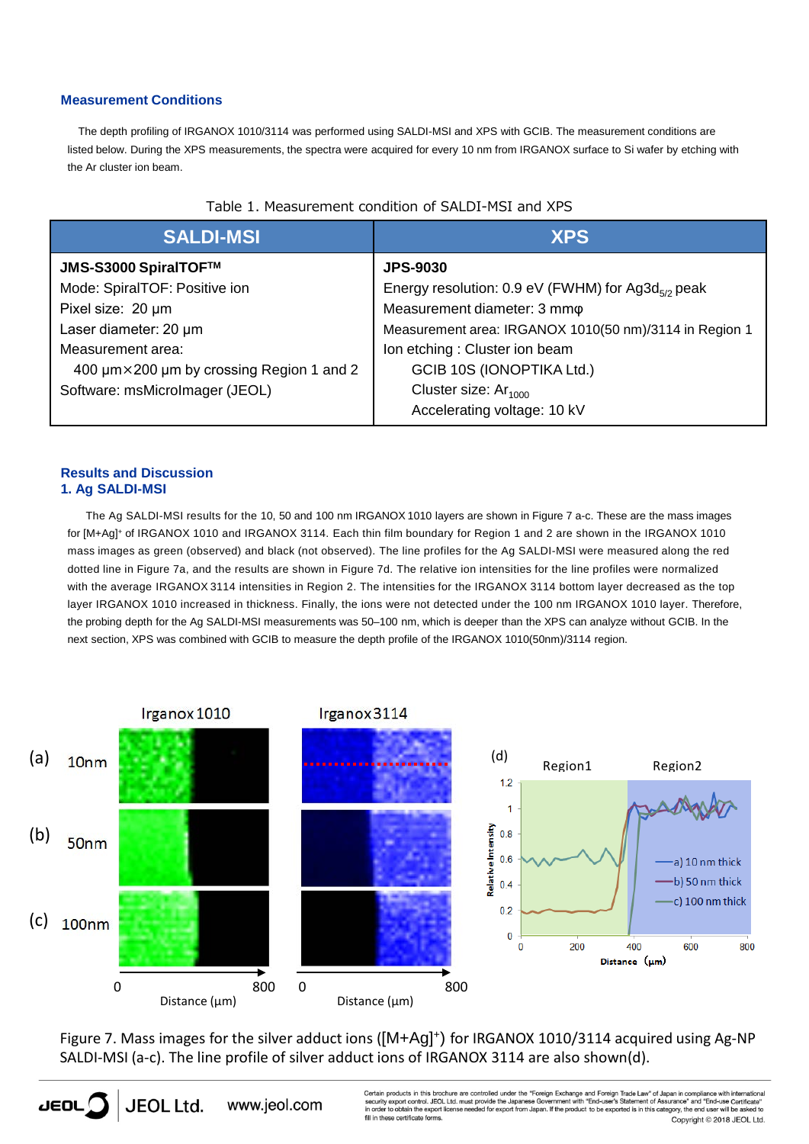## **Measurement Conditions**

The depth profiling of IRGANOX 1010/3114 was performed using SALDI-MSI and XPS with GCIB. The measurement conditions are listed below. During the XPS measurements, the spectra were acquired for every 10 nm from IRGANOX surface to Si wafer by etching with the Ar cluster ion beam.

| <b>SALDI-MSI</b>                         | <b>XPS</b>                                                    |
|------------------------------------------|---------------------------------------------------------------|
| JMS-S3000 SpiralTOF™                     | <b>JPS-9030</b>                                               |
| Mode: SpiralTOF: Positive ion            | Energy resolution: 0.9 eV (FWHM) for Ag3d <sub>5/2</sub> peak |
| Pixel size: 20 um                        | Measurement diameter: 3 mmo                                   |
| Laser diameter: 20 µm                    | Measurement area: IRGANOX 1010(50 nm)/3114 in Region 1        |
| Measurement area:                        | Ion etching: Cluster ion beam                                 |
| 400 µm×200 µm by crossing Region 1 and 2 | GCIB 10S (IONOPTIKA Ltd.)                                     |
| Software: msMicroImager (JEOL)           | Cluster size: Ar <sub>1000</sub>                              |
|                                          | Accelerating voltage: 10 kV                                   |

## Table 1. Measurement condition of SALDI-MSI and XPS

## **Results and Discussion 1. Ag SALDI-MSI**

The Ag SALDI-MSI results for the 10, 50 and 100 nm IRGANOX 1010 layers are shown in Figure 7 a-c. These are the mass images for [M+Ag] <sup>+</sup> of IRGANOX 1010 and IRGANOX 3114. Each thin film boundary for Region 1 and 2 are shown in the IRGANOX 1010 mass images as green (observed) and black (not observed). The line profiles for the Ag SALDI-MSI were measured along the red dotted line in Figure 7a, and the results are shown in Figure 7d. The relative ion intensities for the line profiles were normalized with the average IRGANOX 3114 intensities in Region 2. The intensities for the IRGANOX 3114 bottom layer decreased as the top layer IRGANOX 1010 increased in thickness. Finally, the ions were not detected under the 100 nm IRGANOX 1010 layer. Therefore, the probing depth for the Ag SALDI-MSI measurements was 50–100 nm, which is deeper than the XPS can analyze without GCIB. In the next section, XPS was combined with GCIB to measure the depth profile of the IRGANOX 1010(50nm)/3114 region.

![](_page_2_Figure_6.jpeg)

Figure 7. Mass images for the silver adduct ions ([M+Ag]<sup>+</sup>) for IRGANOX 1010/3114 acquired using Ag-NP SALDI-MSI (a-c). The line profile of silver adduct ions of IRGANOX 3114 are also shown(d).

![](_page_2_Picture_8.jpeg)

Certain products in this brochure are controlled under the "Foreign Exchange and Foreign Trade Law" of Japan in compliance with international<br>security export control. JEOL Ltd. must provide the Japanese Government with "En these certificate forms. Copyright @ 2018 JEOL Ltd